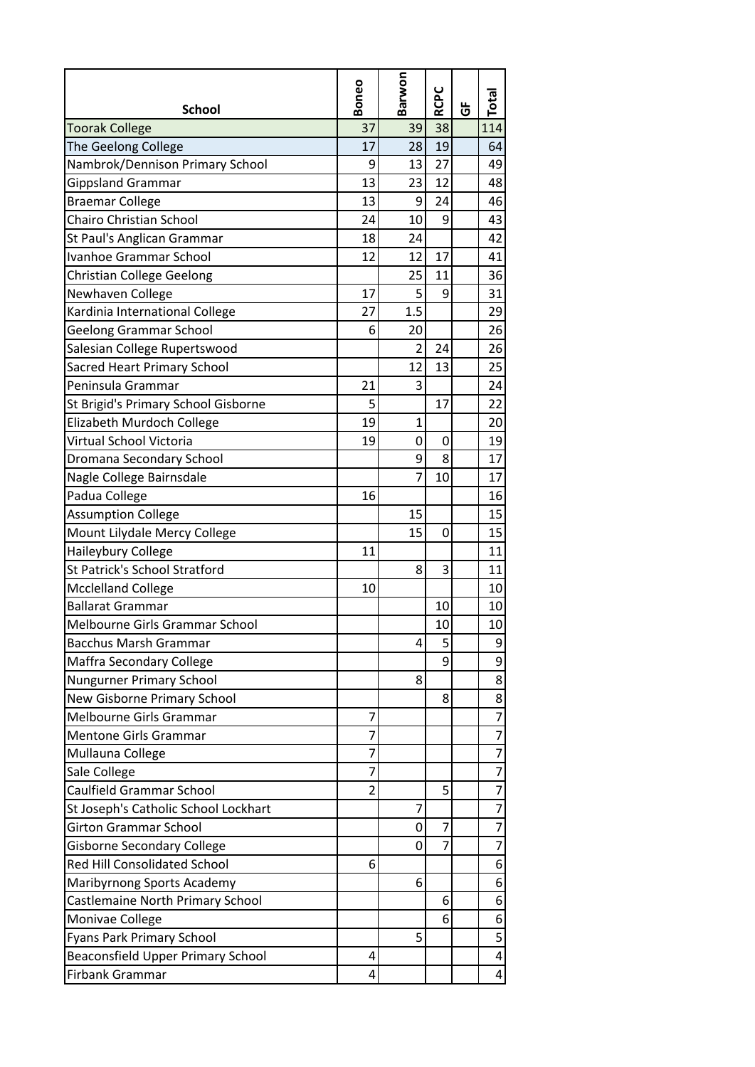| <b>School</b>                        | Boneo          | Barwon         | <b>RCPC</b>    | Ğ | Total          |
|--------------------------------------|----------------|----------------|----------------|---|----------------|
| <b>Toorak College</b>                | 37             | 39             | 38             |   | 114            |
| The Geelong College                  | 17             | 28             | 19             |   | 64             |
| Nambrok/Dennison Primary School      | 9              | 13             | 27             |   | 49             |
| <b>Gippsland Grammar</b>             | 13             | 23             | 12             |   | 48             |
| <b>Braemar College</b>               | 13             | 9              | 24             |   | 46             |
| <b>Chairo Christian School</b>       | 24             | 10             | 9              |   | 43             |
| St Paul's Anglican Grammar           | 18             | 24             |                |   | 42             |
| Ivanhoe Grammar School               | 12             | 12             | 17             |   | 41             |
| Christian College Geelong            |                | 25             | 11             |   | 36             |
| Newhaven College                     | 17             | 5              | 9              |   | 31             |
| Kardinia International College       | 27             | 1.5            |                |   | 29             |
| <b>Geelong Grammar School</b>        | 6              | 20             |                |   | 26             |
| Salesian College Rupertswood         |                | $\overline{2}$ | 24             |   | 26             |
| Sacred Heart Primary School          |                | 12             | 13             |   | 25             |
| Peninsula Grammar                    | 21             | 3              |                |   | 24             |
| St Brigid's Primary School Gisborne  | 5              |                | 17             |   | 22             |
| Elizabeth Murdoch College            | 19             | 1              |                |   | 20             |
| Virtual School Victoria              | 19             | 0              | 0              |   | 19             |
| Dromana Secondary School             |                | 9              | 8              |   | 17             |
| Nagle College Bairnsdale             |                | $\overline{7}$ | 10             |   | 17             |
| Padua College                        | 16             |                |                |   | 16             |
| <b>Assumption College</b>            |                | 15             |                |   | 15             |
| Mount Lilydale Mercy College         |                | 15             | 0              |   | 15             |
| Haileybury College                   | 11             |                |                |   | 11             |
| <b>St Patrick's School Stratford</b> |                | 8              | 3              |   | 11             |
| <b>Mcclelland College</b>            | 10             |                |                |   | 10             |
| <b>Ballarat Grammar</b>              |                |                | 10             |   | 10             |
| Melbourne Girls Grammar School       |                |                | 10             |   | 10             |
| <b>Bacchus Marsh Grammar</b>         |                | 4              | 5              |   | 9              |
| Maffra Secondary College             |                |                | 9              |   | 9              |
| Nungurner Primary School             |                | 8              |                |   | 8              |
| New Gisborne Primary School          |                |                | 8              |   | 8              |
| Melbourne Girls Grammar              | 7              |                |                |   | $\overline{7}$ |
| <b>Mentone Girls Grammar</b>         | 7              |                |                |   | 7              |
| Mullauna College                     | 7              |                |                |   | $\overline{7}$ |
| Sale College                         | $\overline{7}$ |                |                |   | $\overline{7}$ |
| <b>Caulfield Grammar School</b>      | $\overline{2}$ |                | 5              |   | $\overline{7}$ |
| St Joseph's Catholic School Lockhart |                | 7              |                |   | $\overline{7}$ |
| <b>Girton Grammar School</b>         |                | 0              | 7              |   | 7              |
| <b>Gisborne Secondary College</b>    |                | 0              | $\overline{7}$ |   | $\overline{7}$ |
| <b>Red Hill Consolidated School</b>  | 6              |                |                |   | 6              |
| Maribyrnong Sports Academy           |                | 6              |                |   | 6              |
| Castlemaine North Primary School     |                |                | 6              |   | 6              |
| Monivae College                      |                |                | 6              |   | 6              |
| Fyans Park Primary School            |                | 5              |                |   | 5              |
| Beaconsfield Upper Primary School    | 4              |                |                |   | 4              |
| Firbank Grammar                      | 4              |                |                |   | 4              |